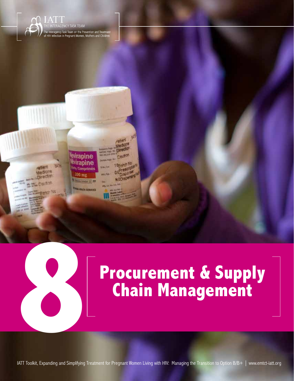





# **Procurement & Supply Chain Management**

Procurement & Supply Chain Management

**8**

**113** IATT Toolkit, Expanding and Simplifying Treatment for Pregnant Women Living with HIV: Managing the Transition to Option B/B+ | www.emtct-iatt.org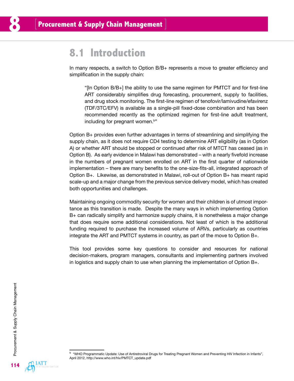### **8.1 Introduction**

In many respects, a switch to Option B/B+ represents a move to greater efficiency and simplification in the supply chain:

"[In Option B/B+] the ability to use the same regimen for PMTCT and for first-line ART considerably simplifies drug forecasting, procurement, supply to facilities, and drug stock monitoring. The first-line regimen of tenofovir/lamivudine/efavirenz (TDF/3TC/EFV) is available as a single-pill fixed-dose combination and has been recommended recently as the optimized regimen for first-line adult treatment, including for pregnant women.<sup>b"</sup>

Option B+ provides even further advantages in terms of streamlining and simplifying the supply chain, as it does not require CD4 testing to determine ART eligibility (as in Option A) or whether ART should be stopped or continued after risk of MTCT has ceased (as in Option B). As early evidence in Malawi has demonstrated – with a nearly fivefold increase in the numbers of pregnant women enrolled on ART in the first quarter of nationwide implementation – there are many benefits to the one-size-fits-all, integrated approach of Option B+. Likewise, as demonstrated in Malawi, roll-out of Option B+ has meant rapid scale-up and a major change from the previous service delivery model, which has created both opportunities and challenges.

Maintaining ongoing commodity security for women and their children is of utmost importance as this transition is made. Despite the many ways in which implementing Option B+ can radically simplify and harmonize supply chains, it is nonetheless a major change that does require some additional considerations. Not least of which is the additional funding required to purchase the increased volume of ARVs, particularly as countries integrate the ART and PMTCT systems in country, as part of the move to Option B+.

This tool provides some key questions to consider and resources for national decision-makers, program managers, consultants and implementing partners involved in logistics and supply chain to use when planning the implementation of Option B+.



<sup>&</sup>lt;sup>b</sup> "WHO Programmatic Update: Use of Antiretroviral Drugs for Treating Pregnant Women and Preventing HIV Infection in Infants", April 2012, [http://www.who.int/hiv/PMTCT\\_update.pdf](http://www.who.int/hiv/PMTCT_update.pdf)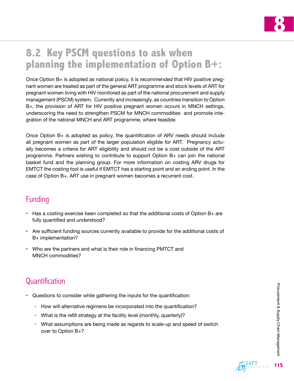

## **8.2 Key PSCM questions to ask when planning the implementation of Option B+:**

Once Option B+ is adopted as national policy, it is recommended that HIV positive pregnant women are treated as part of the general ART programme and stock levels of ART for pregnant women living with HIV monitored as part of the national procurement and supply management (PSCM) system. Currently and increasingly, as countries transition to Option B+, the provision of ART for HIV positive pregnant women occurs in MNCH settings, underscoring the need to strengthen PSCM for MNCH commodities and promote integration of the national MNCH and ART programme, where feasible.

Once Option B+ is adopted as policy, the quantification of ARV needs should include all pregnant women as part of the larger population eligible for ART. Pregnancy actually becomes a criteria for ART eligibility and should not be a cost outside of the ART programme. Partners wishing to contribute to support Option B+ can join the national basket fund and the planning group. For more information on costing ARV drugs for EMTCT the costing tool is useful if EMTCT has a starting point and an ending point. In the case of Option B+, ART use in pregnant women becomes a recurrent cost.

### Funding

- $\cdot$  Has a costing exercise been completed so that the additional costs of Option B  $+$  are fully quantified and understood?
- Are sufficient funding sources currently available to provide for the additional costs of B+ implementation?
- Who are the partners and what is their role in financing PMTCT and MNCH commodities?

### Quantification

- Questions to consider while gathering the inputs for the quantification:
	- How will alternative regimens be incorporated into the quantification?
	- What is the refill strategy at the facility level (monthly, quarterly)?
	- What assumptions are being made as regards to scale-up and speed of switch over to Option B+?

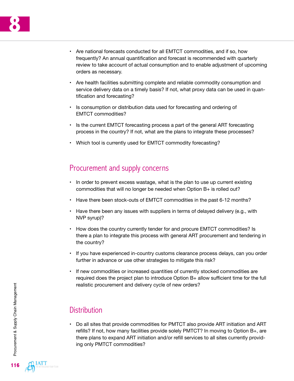

- Are national forecasts conducted for all EMTCT commodities, and if so, how frequently? An annual quantification and forecast is recommended with quarterly review to take account of actual consumption and to enable adjustment of upcoming orders as necessary.
- Are health facilities submitting complete and reliable commodity consumption and service delivery data on a timely basis? If not, what proxy data can be used in quantification and forecasting?
- Is consumption or distribution data used for forecasting and ordering of EMTCT commodities?
- Is the current EMTCT forecasting process a part of the general ART forecasting process in the country? If not, what are the plans to integrate these processes?
- Which tool is currently used for EMTCT commodity forecasting?

#### Procurement and supply concerns

- In order to prevent excess wastage, what is the plan to use up current existing commodities that will no longer be needed when Option B+ is rolled out?
- Have there been stock-outs of EMTCT commodities in the past 6-12 months?
- Have there been any issues with suppliers in terms of delayed delivery (e.g., with NVP syrup)?
- How does the country currently tender for and procure EMTCT commodities? Is there a plan to integrate this process with general ART procurement and tendering in the country?
- If you have experienced in-country customs clearance process delays, can you order further in advance or use other strategies to mitigate this risk?
- If new commodities or increased quantities of currently stocked commodities are required does the project plan to introduce Option B+ allow sufficient time for the full realistic procurement and delivery cycle of new orders?

### **Distribution**

• Do all sites that provide commodities for PMTCT also provide ART initiation and ART refills? If not, how many facilities provide solely PMTCT? In moving to Option B+, are there plans to expand ART initiation and/or refill services to all sites currently providing only PMTCT commodities?

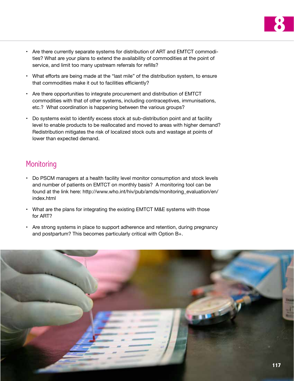

- Are there currently separate systems for distribution of ART and EMTCT commodities? What are your plans to extend the availability of commodities at the point of service, and limit too many upstream referrals for refills?
- What efforts are being made at the "last mile" of the distribution system, to ensure that commodities make it out to facilities efficiently?
- Are there opportunities to integrate procurement and distribution of EMTCT commodities with that of other systems, including contraceptives, immunisations, etc.? What coordination is happening between the various groups?
- Do systems exist to identify excess stock at sub-distribution point and at facility level to enable products to be reallocated and moved to areas with higher demand? Redistribution mitigates the risk of localized stock outs and wastage at points of lower than expected demand.

#### **Monitoring**

- Do PSCM managers at a health facility level monitor consumption and stock levels and number of patients on EMTCT on monthly basis? A monitoring tool can be found at the link here: [http://www.who.int/hiv/pub/amds/monitoring\\_evaluation/en/](http://www.who.int/hiv/pub/amds/monitoring_evaluation/en/index.html) [index.html](http://www.who.int/hiv/pub/amds/monitoring_evaluation/en/index.html)
- What are the plans for integrating the existing EMTCT M&E systems with those for ART?
- Are strong systems in place to support adherence and retention, during pregnancy and postpartum? This becomes particularly critical with Option B+.

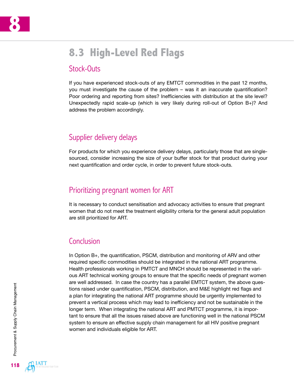

## **8.3 High-Level Red Flags**

#### Stock-Outs

If you have experienced stock-outs of any EMTCT commodities in the past 12 months, you must investigate the cause of the problem – was it an inaccurate quantification? Poor ordering and reporting from sites? Inefficiencies with distribution at the site level? Unexpectedly rapid scale-up (which is very likely during roll-out of Option B+)? And address the problem accordingly.

#### Supplier delivery delays

For products for which you experience delivery delays, particularly those that are singlesourced, consider increasing the size of your buffer stock for that product during your next quantification and order cycle, in order to prevent future stock-outs.

#### Prioritizing pregnant women for ART

It is necessary to conduct sensitisation and advocacy activities to ensure that pregnant women that do not meet the treatment eligibility criteria for the general adult population are still prioritized for ART.

#### **Conclusion**

In Option B+, the quantification, PSCM, distribution and monitoring of ARV and other required specific commodities should be integrated in the national ART programme. Health professionals working in PMTCT and MNCH should be represented in the various ART technical working groups to ensure that the specific needs of pregnant women are well addressed. In case the country has a parallel EMTCT system, the above questions raised under quantification, PSCM, distribution, and M&E highlight red flags and a plan for integrating the national ART programme should be urgently implemented to prevent a vertical process which may lead to inefficiency and not be sustainable in the longer term. When integrating the national ART and PMTCT programme, it is important to ensure that all the issues raised above are functioning well in the national PSCM system to ensure an effective supply chain management for all HIV positive pregnant women and individuals eligible for ART.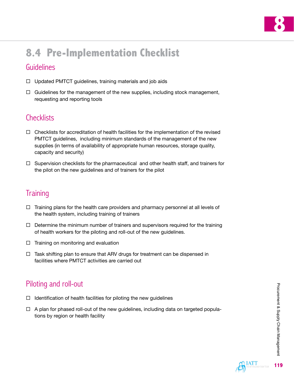

## **8.4 Pre-Implementation Checklist**

#### Guidelines

- $\Box$  Updated PMTCT guidelines, training materials and job aids
- $\Box$  Guidelines for the management of the new supplies, including stock management, requesting and reporting tools

### **Checklists**

- $\Box$  Checklists for accreditation of health facilities for the implementation of the revised PMTCT guidelines, including minimum standards of the management of the new supplies (in terms of availability of appropriate human resources, storage quality, capacity and security)
- $\Box$  Supervision checklists for the pharmaceutical and other health staff, and trainers for the pilot on the new guidelines and of trainers for the pilot

### **Training**

- $\Box$  Training plans for the health care providers and pharmacy personnel at all levels of the health system, including training of trainers
- $\Box$  Determine the minimum number of trainers and supervisors required for the training of health workers for the piloting and roll-out of the new guidelines.
- $\Box$  Training on monitoring and evaluation
- $\Box$  Task shifting plan to ensure that ARV drugs for treatment can be dispensed in facilities where PMTCT activities are carried out

### Piloting and roll-out

- $\Box$  Identification of health facilities for piloting the new guidelines
- $\Box$  A plan for phased roll-out of the new guidelines, including data on targeted populations by region or health facility

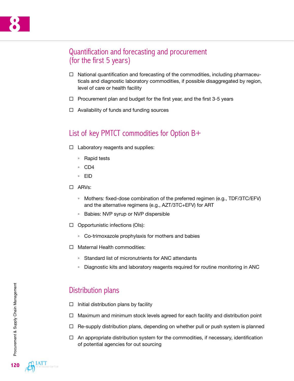#### Quantification and forecasting and procurement (for the first 5 years)

- $\Box$  National quantification and forecasting of the commodities, including pharmaceuticals and diagnostic laboratory commodities, if possible disaggregated by region, level of care or health facility
- $\Box$  Procurement plan and budget for the first year, and the first 3-5 years
- $\Box$  Availability of funds and funding sources

#### List of key PMTCT commodities for Option B+

- $\Box$  Laboratory reagents and supplies:
	- Rapid tests
	- CD4
	- EID
- ARVs:
	- Mothers*:* fixed-dose combination of the preferred regimen (e.g., TDF/3TC/EFV) and the alternative regimens (e.g., AZT/3TC+EFV) for ART
	- Babies: NVP syrup or NVP dispersible
- $\Box$  Opportunistic infections (OIs):
	- Co-trimoxazole prophylaxis for mothers and babies
- □ Maternal Health commodities:
	- Standard list of micronutrients for ANC attendants
	- Diagnostic kits and laboratory reagents required for routine monitoring in ANC

#### Distribution plans

- $\Box$  Initial distribution plans by facility
- $\Box$  Maximum and minimum stock levels agreed for each facility and distribution point
- $\Box$  Re-supply distribution plans, depending on whether pull or push system is planned
- $\Box$  An appropriate distribution system for the commodities, if necessary, identification of potential agencies for out sourcing